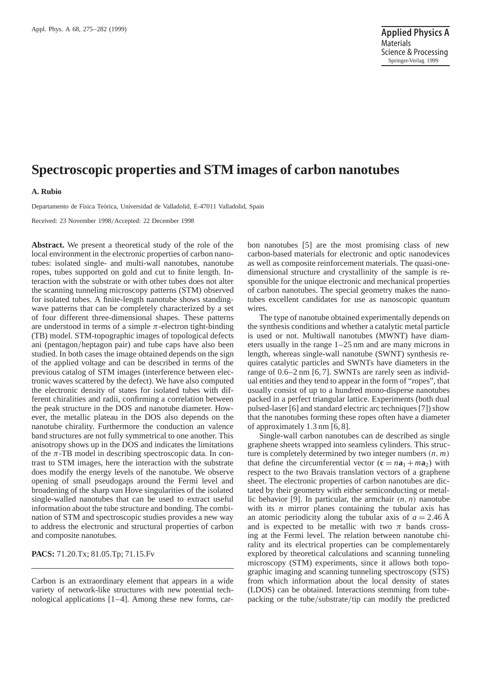# **Spectroscopic properties and STM images of carbon nanotubes**

#### **A. Rubio**

Departamento de Física Teórica, Universidad de Valladolid, E-47011 Valladolid, Spain

Received: 23 November 1998/Accepted: 22 December 1998

**Abstract.** We present a theoretical study of the role of the local environment in the electronic properties of carbon nanotubes: isolated single- and multi-wall nanotubes, nanotube ropes, tubes supported on gold and cut to finite length. Interaction with the substrate or with other tubes does not alter the scanning tunneling microscopy patterns (STM) observed for isolated tubes. A finite-length nanotube shows standingwave patterns that can be completely characterized by a set of four different three-dimensional shapes. These patterns are understood in terms of a simple  $\pi$ -electron tight-binding (TB) model. STM-topographic images of topological defects ani (pentagon/heptagon pair) and tube caps have also been studied. In both cases the image obtained depends on the sign of the applied voltage and can be described in terms of the previous catalog of STM images (interference between electronic waves scattered by the defect). We have also computed the electronic density of states for isolated tubes with different chiralities and radii, confirming a correlation between the peak structure in the DOS and nanotube diameter. However, the metallic plateau in the DOS also depends on the nanotube chirality. Furthermore the conduction an valence band structures are not fully symmetrical to one another. This anisotropy shows up in the DOS and indicates the limitations of the  $\pi$ -TB model in describing spectroscopic data. In contrast to STM images, here the interaction with the substrate does modify the energy levels of the nanotube. We observe opening of small pseudogaps around the Fermi level and broadening of the sharp van Hove singularities of the isolated single-walled nanotubes that can be used to extract useful information about the tube structure and bonding. The combination of STM and spectroscopic studies provides a new way to address the electronic and structural properties of carbon and composite nanotubes.

**PACS:** 71.20.Tx; 81.05.Tp; 71.15.Fv

Carbon is an extraordinary element that appears in a wide variety of network-like structures with new potential technological applications [1–4]. Among these new forms, car-

bon nanotubes [5] are the most promising class of new carbon-based materials for electronic and optic nanodevices as well as composite reinforcement materials. The quasi-onedimensional structure and crystallinity of the sample is responsible for the unique electronic and mechanical properties of carbon nanotubes. The special geometry makes the nanotubes excellent candidates for use as nanoscopic quantum wires.

The type of nanotube obtained experimentally depends on the synthesis conditions and whether a catalytic metal particle is used or not. Multiwall nanotubes (MWNT) have diameters usually in the range 1–25 nm and are many microns in length, whereas single-wall nanotube (SWNT) synthesis requires catalytic particles and SWNTs have diameters in the range of 0.6–2 nm [6, 7]. SWNTs are rarely seen as individual entities and they tend to appear in the form of "ropes", that usually consist of up to a hundred mono-disperse nanotubes packed in a perfect triangular lattice. Experiments (both dual pulsed-laser [6] and standard electric arc techniques [7]) show that the nanotubes forming these ropes often have a diameter of approximately 1.3 nm [6, 8].

Single-wall carbon nanotubes can de described as single graphene sheets wrapped into seamless cylinders. This structure is completely determined by two integer numbers (*n*, *m*) that define the circumferential vector  $(c = na_1 + ma_2)$  with respect to the two Bravais translation vectors of a graphene sheet. The electronic properties of carbon nanotubes are dictated by their geometry with either semiconducting or metallic behavior [9]. In particular, the armchair (*n*, *n*) nanotube with its *n* mirror planes containing the tubular axis has an atomic periodicity along the tubular axis of  $a = 2.46 \text{ Å}$ and is expected to be metallic with two  $\pi$  bands crossing at the Fermi level. The relation between nanotube chirality and its electrical properties can be complementarely explored by theoretical calculations and scanning tunneling microscopy (STM) experiments, since it allows both topographic imaging and scanning tunneling spectroscopy (STS) from which information about the local density of states (LDOS) can be obtained. Interactions stemming from tubepacking or the tube/substrate/tip can modify the predicted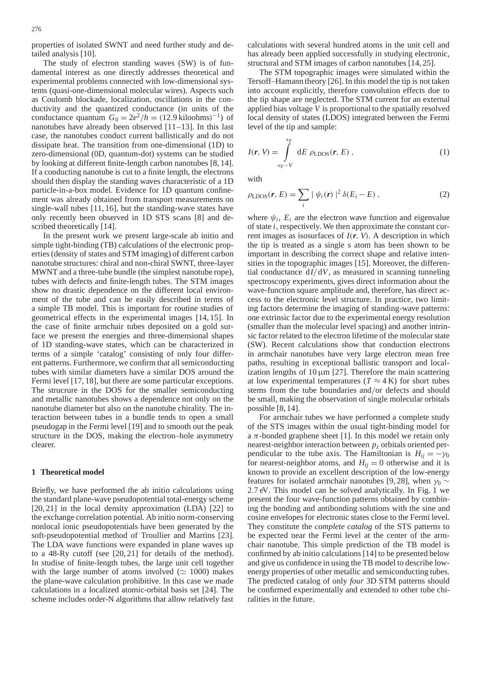properties of isolated SWNT and need further study and detailed analysis [10].

The study of electron standing waves (SW) is of fundamental interest as one directly addresses theoretical and experimental problems connected with low-dimensional systems (quasi-one-dimensional molecular wires). Aspects such as Coulomb blockade, localization, oscillations in the conductivity and the quantized conductance (in units of the conductance quantum  $G_0 = 2e^2/h = (12.9 \text{ kiloohms})^{-1}$  of nanotubes have already been observed [11–13]. In this last case, the nanotubes conduct current ballistically and do not dissipate heat. The transition from one-dimensional (1D) to zero-dimensional (0D, quantum-dot) systems can be studied by looking at different finite-length carbon nanotubes [8, 14]. If a conducting nanotube is cut to a finite length, the electrons should then display the standing waves characteristic of a 1D particle-in-a-box model. Evidence for 1D quantum confinement was already obtained from transport measurements on single-wall tubes [11, 16], but the standing-wave states have only recently been observed in 1D STS scans [8] and described theoretically [14].

In the present work we present large-scale ab initio and simple tight-binding (TB) calculations of the electronic properties (density of states and STM imaging) of different carbon nanotube structures: chiral and non-chiral SWNT, three-layer MWNT and a three-tube bundle (the simplest nanotube rope), tubes with defects and finite-length tubes. The STM images show no drastic dependence on the different local environment of the tube and can be easily described in terms of a simple TB model. This is important for routine studies of geometrical effects in the experimental images [14, 15]. In the case of finite armchair tubes deposited on a gold surface we present the energies and three-dimensional shapes of 1D standing-wave states, which can be characterized in terms of a simple 'catalog' consisting of only four different patterns. Furthermore, we confirm that all semiconducting tubes with similar diameters have a similar DOS around the Fermi level [17, 18], but there are some particular exceptions. The strucrure in the DOS for the smaller semiconducting and metallic nanotubes shows a dependence not only on the nanotube diameter but also on the nanotube chirality. The interaction between tubes in a bundle tends to open a small pseudogap in the Fermi level [19] and to smooth out the peak structure in the DOS, making the electron–hole asymmetry clearer.

# **1 Theoretical model**

Briefly, we have performed the ab initio calculations using the standard plane-wave pseudopotential total-energy scheme [20, 21] in the local density approximation (LDA) [22] to the exchange correlation potential. Ab initio norm-conserving nonlocal ionic pseudopotentials have been generated by the soft-pseudopotential method of Troullier and Martins [23]. The LDA wave functions were expanded in plane waves up to a 48-Ry cutoff (see [20, 21] for details of the method). In studise of finite-length tubes, the large unit cell together with the large number of atoms involved ( $\simeq$  1000) makes the plane-wave calculation prohibitive. In this case we made calculations in a localized atomic-orbital basis set [24]. The scheme includes order-N algorithms that allow relatively fast

calculations with several hundred atoms in the unit cell and has already been applied successfully in studying electronic, structural and STM images of carbon nanotubes [14, 25].

The STM topographic images were simulated within the Tersoff–Hamann theory [26]. In this model the tip is not taken into account explicitly, therefore convolution effects due to the tip shape are neglected. The STM current for an external applied bias voltage *V* is proportional to the spatially resolved local density of states (LDOS) integrated between the Fermi level of the tip and sample:

$$
I(r, V) = \int_{\epsilon_{\rm F}-V}^{\epsilon_{\rm F}} dE \rho_{\rm LDOS}(r, E), \qquad (1)
$$

with

$$
\rho_{\text{LDOS}}(\mathbf{r}, E) = \sum_{i} |\psi_i(\mathbf{r})|^2 \delta(E_i - E), \qquad (2)
$$

where  $\psi_i$ ,  $E_i$  are the electron wave function and eigenvalue of state *i*, respectively. We then approximate the constant current images as isosurfaces of *I*(*r*, *V*). A description in which the tip is treated as a single s atom has been shown to be important in describing the correct shape and relative intensities in the topographic images [15]. Moreover, the differential conductance d*I*/d*V*, as measured in scanning tunneling spectroscopy experiments, gives direct information about the wave-function square amplitude and, therefore, has direct access to the electronic level structure. In practice, two limiting factors determine the imaging of standing-wave patterns: one extrinsic factor due to the experimental energy resolution (smaller than the molecular level spacing) and another intrinsic factor related to the electron lifetime of the molecular state (SW). Recent calculations show that conduction electrons in armchair nanotubes have very large electron mean free paths, resulting in exceptional ballistic transport and localization lengths of  $10 \mu m$  [27]. Therefore the main scattering at low experimental temperatures ( $T \approx 4$  K) for short tubes stems from the tube boundaries and/or defects and should be small, making the observation of single molecular orbitals possible [8, 14].

For armchair tubes we have performed a complete study of the STS images within the usual tight-binding model for a  $\pi$ -bonded graphene sheet [1]. In this model we retain only nearest-neighbor interaction between *pz* orbitals oriented perpendicular to the tube axis. The Hamiltonian is  $H_{ii} = -\gamma_0$ for nearest-neighbor atoms, and  $H_{ij} = 0$  otherwise and it is known to provide an excellent description of the low-energy features for isolated armchair nanotubes [9, 28], when  $\gamma_0 \sim$ 2.7 eV. This model can be solved analytically. In Fig. 1 we present the four wave-function patterns obtained by combining the bonding and antibonding solutions with the sine and cosine envelopes for electronic states close to the Fermi level. They constitute the *complete catalog* of the STS patterns to be expected near the Fermi level at the center of the armchair nanotube. This simple prediction of the TB model is confirmed by ab initio calculations [14] to be presented below and give us confidence in using the TB model to describe lowenergy properties of other metallic and semiconducting tubes. The predicted catalog of only *four* 3D STM patterns should be confirmed experimentally and extended to other tube chiralities in the future.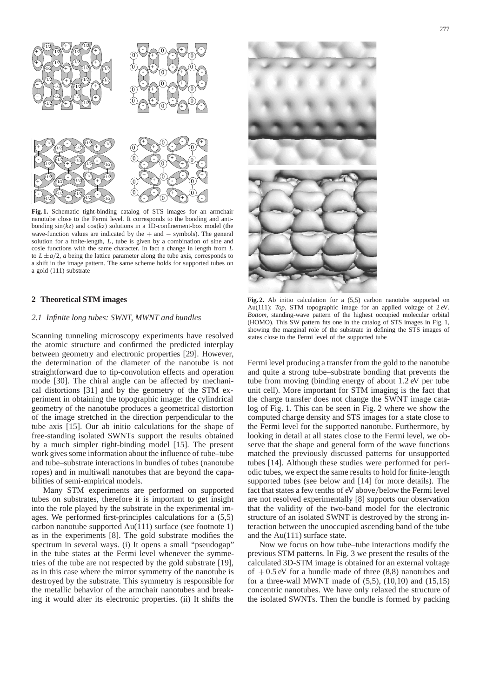

**Fig. 1.** Schematic tight-binding catalog of STS images for an armchair nanotube close to the Fermi level. It corresponds to the bonding and antibonding  $sin(kz)$  and  $cos(kz)$  solutions in a 1D-confinement-box model (the wave-function values are indicated by the  $+$  and  $-$  symbols). The general solution for a finite-length, *L*, tube is given by a combination of sine and cosie functions with the same character. In fact a change in length from *L* to  $L \pm a/2$ , *a* being the lattice parameter along the tube axis, corresponds to a shift in the image pattern. The same scheme holds for supported tubes on a gold (111) substrate

## **2 Theoretical STM images**

#### *2.1 Infinite long tubes: SWNT, MWNT and bundles*

Scanning tunneling microscopy experiments have resolved the atomic structure and confirmed the predicted interplay between geometry and electronic properties [29]. However, the determination of the diameter of the nanotube is not straightforward due to tip-convolution effects and operation mode [30]. The chiral angle can be affected by mechanical distortions [31] and by the geometry of the STM experiment in obtaining the topographic image: the cylindrical geometry of the nanotube produces a geometrical distortion of the image stretched in the direction perpendicular to the tube axis [15]. Our ab initio calculations for the shape of free-standing isolated SWNTs support the results obtained by a much simpler tight-binding model [15]. The present work gives some information about the influence of tube–tube and tube–substrate interactions in bundles of tubes (nanotube ropes) and in multiwall nanotubes that are beyond the capabilities of semi-empirical models.

Many STM experiments are performed on supported tubes on substrates, therefore it is important to get insight into the role played by the substrate in the experimental images. We performed first-principles calculations for a (5,5) carbon nanotube supported  $Au(111)$  surface (see footnote 1) as in the experiments [8]. The gold substrate modifies the spectrum in several ways. (i) It opens a small "pseudogap" in the tube states at the Fermi level whenever the symmetries of the tube are not respected by the gold substrate [19], as in this case where the mirror symmetry of the nanotube is destroyed by the substrate. This symmetry is responsible for the metallic behavior of the armchair nanotubes and breaking it would alter its electronic properties. (ii) It shifts the



**Fig. 2.** Ab initio calculation for a (5,5) carbon nanotube supported on Au(111): *Top*, STM topographic image for an applied voltage of 2 eV. *Bottom*, standing-wave pattern of the highest occupied molecular orbital (HOMO). This SW pattern fits one in the catalog of STS images in Fig. 1, showing the marginal role of the substrate in defining the STS images of states close to the Fermi level of the supported tube

Fermi level producing a transfer from the gold to the nanotube and quite a strong tube–substrate bonding that prevents the tube from moving (binding energy of about 1.2 eV per tube unit cell). More important for STM imaging is the fact that the charge transfer does not change the SWNT image catalog of Fig. 1. This can be seen in Fig. 2 where we show the computed charge density and STS images for a state close to the Fermi level for the supported nanotube. Furthermore, by looking in detail at all states close to the Fermi level, we observe that the shape and general form of the wave functions matched the previously discussed patterns for unsupported tubes [14]. Although these studies were performed for periodic tubes, we expect the same results to hold for finite-length supported tubes (see below and [14] for more details). The fact that states a few tenths of eV above/below the Fermi level are not resolved experimentally [8] supports our observation that the validity of the two-band model for the electronic structure of an isolated SWNT is destroyed by the strong interaction between the unoccupied ascending band of the tube and the Au(111) surface state.

Now we focus on how tube–tube interactions modify the previous STM patterns. In Fig. 3 we present the results of the calculated 3D-STM image is obtained for an external voltage of  $+0.5$  eV for a bundle made of three  $(8,8)$  nanotubes and for a three-wall MWNT made of  $(5,5)$ ,  $(10,10)$  and  $(15,15)$ concentric nanotubes. We have only relaxed the structure of the isolated SWNTs. Then the bundle is formed by packing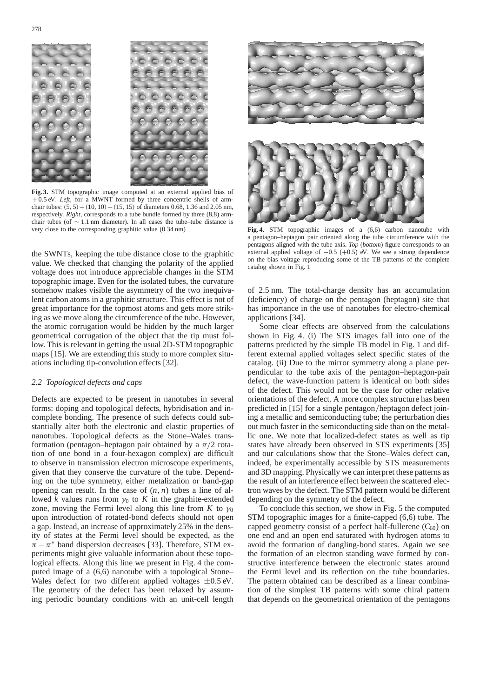

**Fig. 3.** STM topographic image computed at an external applied bias of +0.5 eV. *Left*, for a MWNT formed by three concentric shells of armchair tubes:  $(5, 5) + (10, 10) + (15, 15)$  of diameters 0.68, 1.36 and 2.05 nm, respectively. *Right*, corresponds to a tube bundle formed by three (8,8) armchair tubes (of ∼ 1.1 nm diameter). In all cases the tube–tube distance is very close to the corresponding graphitic value (0.34 nm)

the SWNTs, keeping the tube distance close to the graphitic value. We checked that changing the polarity of the applied voltage does not introduce appreciable changes in the STM topographic image. Even for the isolated tubes, the curvature somehow makes visible the asymmetry of the two inequivalent carbon atoms in a graphitic structure. This effect is not of great importance for the topmost atoms and gets more striking as we move along the circumference of the tube. However, the atomic corrugation would be hidden by the much larger geometrical corrugation of the object that the tip must follow. This is relevant in getting the usual 2D-STM topographic maps [15]. We are extending this study to more complex situations including tip-convolution effects [32].

## *2.2 Topological defects and caps*

Defects are expected to be present in nanotubes in several forms: doping and topological defects, hybridisation and incomplete bonding. The presence of such defects could substantially alter both the electronic and elastic properties of nanotubes. Topological defects as the Stone–Wales transformation (pentagon–heptagon pair obtained by a  $\pi/2$  rotation of one bond in a four-hexagon complex) are difficult to observe in transmission electron microscope experiments, given that they conserve the curvature of the tube. Depending on the tube symmetry, either metalization or band-gap opening can result. In the case of  $(n, n)$  tubes a line of allowed *k* values runs from  $\gamma_0$  to *K* in the graphite-extended zone, moving the Fermi level along this line from *K* to  $\gamma_0$ upon introduction of rotated-bond defects should not open a gap. Instead, an increase of approximately 25% in the density of states at the Fermi level should be expected, as the  $\pi - \pi^*$  band dispersion decreases [33]. Therefore, STM experiments might give valuable information about these topological effects. Along this line we present in Fig. 4 the computed image of a (6,6) nanotube with a topological Stone– Wales defect for two different applied voltages  $\pm 0.5$  eV. The geometry of the defect has been relaxed by assuming periodic boundary conditions with an unit-cell length



**Fig. 4.** STM topographic images of a (6,6) carbon nanotube with a pentagon–heptagon pair oriented along the tube circumference with the pentagons aligned with the tube axis. *Top* (*bottom*) figure corresponds to an external applied voltage of  $-0.5$  ( $+0.5$ ) eV. We see a strong dependence on the bias voltage reproducing some of the TB patterns of the complete catalog shown in Fig. 1

of 2.5 nm. The total-charge density has an accumulation (deficiency) of charge on the pentagon (heptagon) site that has importance in the use of nanotubes for electro-chemical applications [34].

Some clear effects are observed from the calculations shown in Fig. 4. (i) The STS images fall into one of the patterns predicted by the simple TB model in Fig. 1 and different external applied voltages select specific states of the catalog. (ii) Due to the mirror symmetry along a plane perpendicular to the tube axis of the pentagon–heptagon-pair defect, the wave-function pattern is identical on both sides of the defect. This would not be the case for other relative orientations of the defect. A more complex structure has been predicted in [15] for a single pentagon/heptagon defect joining a metallic and semiconducting tube; the perturbation dies out much faster in the semiconducting side than on the metallic one. We note that localized-defect states as well as tip states have already been observed in STS experiments [35] and our calculations show that the Stone–Wales defect can, indeed, be experimentally accessible by STS measurements and 3D mapping. Physically we can interpret these patterns as the result of an interference effect between the scattered electron waves by the defect. The STM pattern would be different depending on the symmetry of the defect.

To conclude this section, we show in Fig. 5 the computed STM topographic images for a finite-capped (6,6) tube. The capped geometry consist of a perfect half-fullerene  $(C_{60})$  on one end and an open end saturated with hydrogen atoms to avoid the formation of dangling-bond states. Again we see the formation of an electron standing wave formed by constructive interference between the electronic states around the Fermi level and its reflection on the tube boundaries. The pattern obtained can be described as a linear combination of the simplest TB patterns with some chiral pattern that depends on the geometrical orientation of the pentagons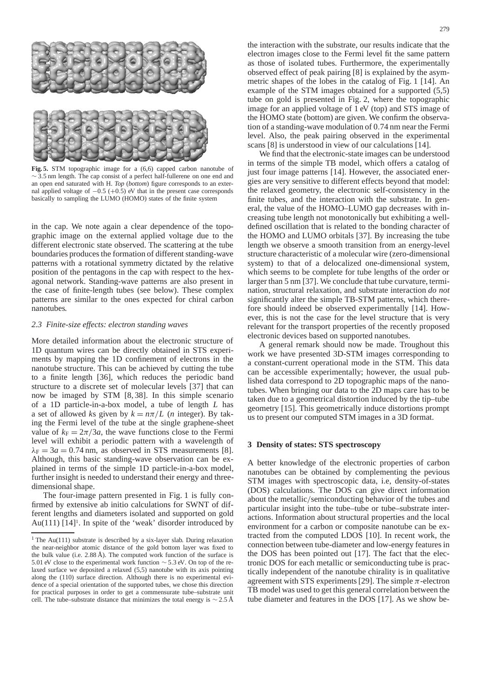

**Fig. 5.** STM topographic image for a (6,6) capped carbon nanotube of ∼ 3.5 nm length. The cap consist of a perfect half-fullerene on one end and an open end saturated with H. *Top* (*bottom*) figure corresponds to an external applied voltage of  $-0.5$  ( $+0.5$ ) eV that in the present case corresponds basically to sampling the LUMO (HOMO) states of the finite system

in the cap. We note again a clear dependence of the topographic image on the external applied voltage due to the different electronic state observed. The scattering at the tube boundaries produces the formation of different standing-wave patterns with a rotational symmetry dictated by the relative position of the pentagons in the cap with respect to the hexagonal network. Standing-wave patterns are also present in the case of finite-length tubes (see below). These complex patterns are similar to the ones expected for chiral carbon nanotubes.

#### *2.3 Finite-size effects: electron standing waves*

More detailed information about the electronic structure of 1D quantum wires can be directly obtained in STS experiments by mapping the 1D confinement of electrons in the nanotube structure. This can be achieved by cutting the tube to a finite length [36], which reduces the periodic band structure to a discrete set of molecular levels [37] that can now be imaged by STM [8, 38]. In this simple scenario of a 1D particle-in-a-box model, a tube of length *L* has a set of allowed *ks* given by  $k = n\pi/L$  (*n* integer). By taking the Fermi level of the tube at the single graphene-sheet value of  $k_F = 2\pi/3a$ , the wave functions close to the Fermi level will exhibit a periodic pattern with a wavelength of  $\lambda_F = 3a = 0.74$  nm, as observed in STS measurements [8]. Although, this basic standing-wave observation can be explained in terms of the simple 1D particle-in-a-box model, further insight is needed to understand their energy and threedimensional shape.

The four-image pattern presented in Fig. 1 is fully confirmed by extensive ab initio calculations for SWNT of different lengths and diameters isolated and supported on gold Au(111)  $[14]$ <sup>1</sup>. In spite of the 'weak' disorder introduced by

the interaction with the substrate, our results indicate that the electron images close to the Fermi level fit the same pattern as those of isolated tubes. Furthermore, the experimentally observed effect of peak pairing [8] is explained by the asymmetric shapes of the lobes in the catalog of Fig. 1 [14]. An example of the STM images obtained for a supported (5,5) tube on gold is presented in Fig. 2, where the topographic image for an applied voltage of 1 eV (top) and STS image of the HOMO state (bottom) are given. We confirm the observation of a standing-wave modulation of 0.74 nm near the Fermi level. Also, the peak pairing observed in the experimental scans [8] is understood in view of our calculations [14].

We find that the electronic-state images can be understood in terms of the simple TB model, which offers a catalog of just four image patterns [14]. However, the associated energies are very sensitive to different effects beyond that model: the relaxed geometry, the electronic self-consistency in the finite tubes, and the interaction with the substrate. In general, the value of the HOMO–LUMO gap decreases with increasing tube length not monotonically but exhibiting a welldefined oscillation that is related to the bonding character of the HOMO and LUMO orbitals [37]. By increasing the tube length we observe a smooth transition from an energy-level structure characteristic of a molecular wire (zero-dimensional system) to that of a delocalized one-dimensional system, which seems to be complete for tube lengths of the order or larger than 5 nm [37]. We conclude that tube curvature, termination, structural relaxation, and substrate interaction *do not* significantly alter the simple TB-STM patterns, which therefore should indeed be observed experimentally [14]. However, this is not the case for the level structure that is very relevant for the transport properties of the recently proposed electronic devices based on supported nanotubes.

A general remark should now be made. Troughout this work we have presented 3D-STM images corresponding to a constant-current operational mode in the STM. This data can be accessible experimentally; however, the usual published data correspond to 2D topographic maps of the nanotubes. When bringing our data to the 2D maps care has to be taken due to a geometrical distortion induced by the tip–tube geometry [15]. This geometrically induce distortions prompt us to present our computed STM images in a 3D format.

# **3 Density of states: STS spectroscopy**

A better knowledge of the electronic properties of carbon nanotubes can be obtained by complementing the pevious STM images with spectroscopic data, i.e, density-of-states (DOS) calculations. The DOS can give direct information about the metallic/semiconducting behavior of the tubes and particular insight into the tube–tube or tube–substrate interactions. Information about structural properties and the local environment for a carbon or composite nanotube can be extracted from the computed LDOS [10]. In recent work, the connection between tube-diameter and low-energy features in the DOS has been pointed out [17]. The fact that the electronic DOS for each metallic or semiconducting tube is practically independent of the nanotube chirality is in qualitative agreement with STS experiments [29]. The simple  $\pi$ -electron TB model was used to get this general correlation between the tube diameter and features in the DOS [17]. As we show be-

<sup>&</sup>lt;sup>1</sup> The Au(111) substrate is described by a six-layer slab. During relaxation the near-neighbor atomic distance of the gold bottom layer was fixed to the bulk value (i.e. 2.88 Å). The computed work function of the surface is 5.01 eV close to the experimental work function ∼ 5.3 eV. On top of the relaxed surface we deposited a relaxed (5,5) nanotube with its axis pointing along the (110) surface direction. Although there is no experimental evidence of a special orientation of the supported tubes, we chose this direction for practical purposes in order to get a commensurate tube–substrate unit cell. The tube–substrate distance that minimizes the total energy is  $\sim$  2.5 Å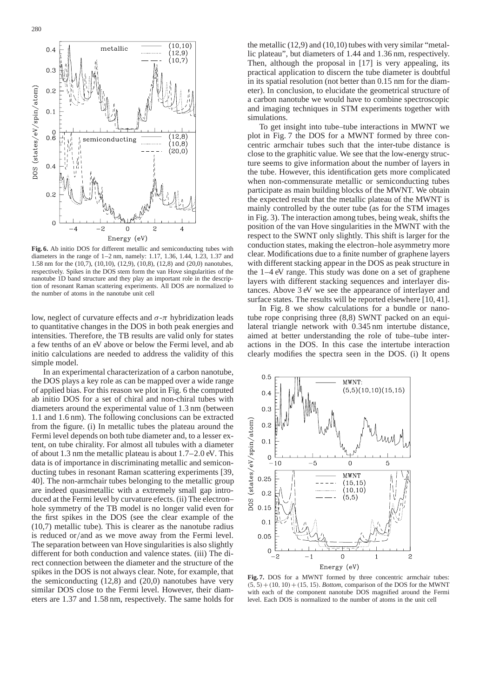

**Fig. 6.** Ab initio DOS for different metallic and semiconducting tubes with diameters in the range of 1–2 nm, namely: 1.17, 1.36, 1.44, 1.23, 1.37 and 1.58 nm for the (10,7), (10,10), (12,9), (10,8), (12,8) and (20,0) nanotubes, respectively. Spikes in the DOS stem form the van Hove singularities of the nanotube 1D band structure and they play an important role in the description of resonant Raman scattering experiments. All DOS are normalized to the number of atoms in the nanotube unit cell

low, neglect of curvature effects and  $σ$ -π hybridization leads to quantitative changes in the DOS in both peak energies and intensities. Therefore, the TB results are valid only for states a few tenths of an eV above or below the Fermi level, and ab initio calculations are needed to address the validity of this simple model.

In an experimental characterization of a carbon nanotube, the DOS plays a key role as can be mapped over a wide range of applied bias. For this reason we plot in Fig. 6 the computed ab initio DOS for a set of chiral and non-chiral tubes with diameters around the experimental value of 1.3 nm (between 1.1 and 1.6 nm). The following conclusions can be extracted from the figure. (i) In metallic tubes the plateau around the Fermi level depends on both tube diameter and, to a lesser extent, on tube chirality. For almost all tubules with a diameter of about 1.3 nm the metallic plateau is about 1.7–2.0 eV. This data is of importance in discriminating metallic and semiconducting tubes in resonant Raman scattering experiments [39, 40]. The non-armchair tubes belonging to the metallic group are indeed quasimetallic with a extremely small gap introduced at the Fermi level by curvature efects. (ii) The electron– hole symmetry of the TB model is no longer valid even for the first spikes in the DOS (see the clear example of the (10,7) metallic tube). This is clearer as the nanotube radius is reduced or/and as we move away from the Fermi level. The separation between van Hove singularities is also slightly different for both conduction and valence states. (iii) The direct connection between the diameter and the structure of the spikes in the DOS is not always clear. Note, for example, that the semiconducting  $(12,8)$  and  $(20,0)$  nanotubes have very similar DOS close to the Fermi level. However, their diameters are 1.37 and 1.58 nm, respectively. The same holds for

the metallic (12,9) and (10,10) tubes with very similar "metallic plateau", but diameters of 1.44 and 1.36 nm, respectively. Then, although the proposal in [17] is very appealing, its practical application to discern the tube diameter is doubtful in its spatial resolution (not better than 0.15 nm for the diameter). In conclusion, to elucidate the geometrical structure of a carbon nanotube we would have to combine spectroscopic and imaging techniques in STM experiments together with simulations.

To get insight into tube–tube interactions in MWNT we plot in Fig. 7 the DOS for a MWNT formed by three concentric armchair tubes such that the inter-tube distance is close to the graphitic value. We see that the low-energy structure seems to give information about the number of layers in the tube. However, this identification gets more complicated when non-commensurate metallic or semiconducting tubes participate as main building blocks of the MWNT. We obtain the expected result that the metallic plateau of the MWNT is mainly controlled by the outer tube (as for the STM images in Fig. 3). The interaction among tubes, being weak, shifts the position of the van Hove singularities in the MWNT with the respect to the SWNT only slightly. This shift is larger for the conduction states, making the electron–hole asymmetry more clear. Modifications due to a finite number of graphene layers with different stacking appear in the DOS as peak structure in the 1–4 eV range. This study was done on a set of graphene layers with different stacking sequences and interlayer distances. Above 3 eV we see the appearance of interlayer and surface states. The results will be reported elsewhere [10, 41].

In Fig. 8 we show calculations for a bundle or nanotube rope conprising three (8,8) SWNT packed on an equilateral triangle network with 0.345 nm intertube distance, aimed at better understanding the role of tube–tube interactions in the DOS. In this case the intertube interaction clearly modifies the spectra seen in the DOS. (i) It opens



Fig. 7. DOS for a MWNT formed by three concentric armchair tubes:  $(5, 5) + (10, 10) + (15, 15)$ . *Bottom*, comparison of the DOS for the MWNT with each of the component nanotube DOS magnified around the Fermi level. Each DOS is normalized to the number of atoms in the unit cell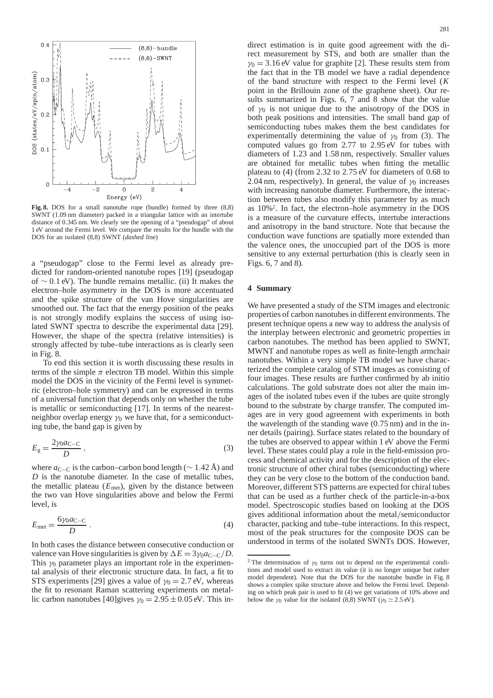

**Fig. 8.** DOS for a small nanotube rope (bundle) formed by three (8,8) SWNT (1.09 nm diameter) packed in a triangular lattice with an intertube distance of 0.345 nm. We clearly see the opening of a "pseudogap" of about 1 eV around the Fermi level. We compare the results for the bundle with the DOS for an isolated (8,8) SWNT (*dashed line*)

a "pseudogap" close to the Fermi level as already predicted for random-oriented nanotube ropes [19] (pseudogap of ∼ 0.1 eV). The bundle remains metallic. (ii) It makes the electron–hole asymmetry in the DOS is more accentuated and the spike structure of the van Hove singularities are smoothed out. The fact that the energy position of the peaks is not strongly modify explains the success of using isolated SWNT spectra to describe the experimental data [29]. However, the shape of the spectra (relative intensities) is strongly affected by tube–tube interactions as is clearly seen in Fig. 8.

To end this section it is worth discussing these results in terms of the simple  $\pi$  electron TB model. Within this simple model the DOS in the vicinity of the Fermi level is symmetric (electron–hole symmetry) and can be expressed in terms of a universal function that depends only on whether the tube is metallic or semiconducting [17]. In terms of the nearestneighbor overlap energy  $\gamma_0$  we have that, for a semiconducting tube, the band gap is given by

$$
E_{\rm g} = \frac{2\gamma_0 a_{\rm C-C}}{D} \,,\tag{3}
$$

where *a*<sub>C−C</sub> is the carbon–carbon bond length ( $\sim$  1.42 Å) and *D* is the nanotube diameter. In the case of metallic tubes, the metallic plateau  $(E_{\text{met}})$ , given by the distance between the two van Hove singularities above and below the Fermi level, is

$$
E_{\text{met}} = \frac{6\gamma_0 a_{\text{C-C}}}{D} \,. \tag{4}
$$

In both cases the distance between consecutive conduction or valence van Hove singularities is given by  $\Delta E = 3\gamma_0 a_{\text{C}-\text{C}}/D$ . This  $\gamma_0$  parameter plays an important role in the experimental analysis of their electronic structure data. In fact, a fit to STS experiments [29] gives a value of  $\gamma_0 = 2.7$  eV, whereas the fit to resonant Raman scattering experiments on metallic carbon nanotubes [40]gives  $\gamma_0 = 2.95 \pm 0.05$  eV. This in-

direct estimation is in quite good agreement with the direct measurement by STS, and both are smaller than the  $\gamma_0 = 3.16$  eV value for graphite [2]. These results stem from the fact that in the TB model we have a radial dependence of the band structure with respect to the Fermi level (*K* point in the Brillouin zone of the graphene sheet). Our results summarized in Figs. 6, 7 and 8 show that the value of  $\gamma_0$  is not unique due to the anisotropy of the DOS in both peak positions and intensities. The small band gap of semiconducting tubes makes them the best candidates for experimentally determining the value of  $\gamma_0$  from (3). The computed values go from 2.77 to 2.95 eV for tubes with diameters of 1.23 and 1.58 nm, respectively. Smaller values are obtained for metallic tubes when fitting the metallic plateau to (4) (from 2.32 to 2.75 eV for diameters of 0.68 to 2.04 nm, respectively). In general, the value of  $\gamma_0$  increases with increasing nanotube diameter. Furthermore, the interaction between tubes also modify this parameter by as much as 10%2. In fact, the electron–hole asymmetry in the DOS is a measure of the curvature effects, intertube interactions and anisotropy in the band structure. Note that because the conduction wave functions are spatially more extended than the valence ones, the unoccupied part of the DOS is more sensitive to any external perturbation (this is clearly seen in Figs. 6, 7 and 8).

# **4 Summary**

We have presented a study of the STM images and electronic properties of carbon nanotubes in different environments. The present technique opens a new way to address the analysis of the interplay between electronic and geometric properties in carbon nanotubes. The method has been applied to SWNT, MWNT and nanotube ropes as well as finite-length armchair nanotubes. Within a very simple TB model we have characterized the complete catalog of STM images as consisting of four images. These results are further confirmed by ab initio calculations. The gold substrate does not alter the main images of the isolated tubes even if the tubes are quite strongly bound to the substrate by charge transfer. The computed images are in very good agreement with experiments in both the wavelength of the standing wave (0.75 nm) and in the inner details (pairing). Surface states related to the boundary of the tubes are observed to appear within 1 eV above the Fermi level. These states could play a role in the field-emission process and chemical activity and for the description of the electronic structure of other chiral tubes (semiconducting) where they can be very close to the bottom of the conduction band. Moreover, different STS patterns are expected for chiral tubes that can be used as a further check of the particle-in-a-box model. Spectroscopic studies based on looking at the DOS gives additional information about the metal/semiconductor character, packing and tube–tube interactions. In this respect, most of the peak structures for the composite DOS can be understood in terms of the isolated SWNTs DOS. However,

<sup>&</sup>lt;sup>2</sup> The determination of  $\gamma_0$  turns out to depend on the experimental conditions and model used to extract its value (it is no longer unique but rather model dependent). Note that the DOS for the nanotube bundle in Fig. 8 shows a complex spike structure above and below the Fermi level. Depending on which peak pair is used to fit (4) we get variations of 10% above and below the  $\gamma_0$  value for the isolated (8,8) SWNT ( $\gamma_0 \simeq 2.5$  eV).